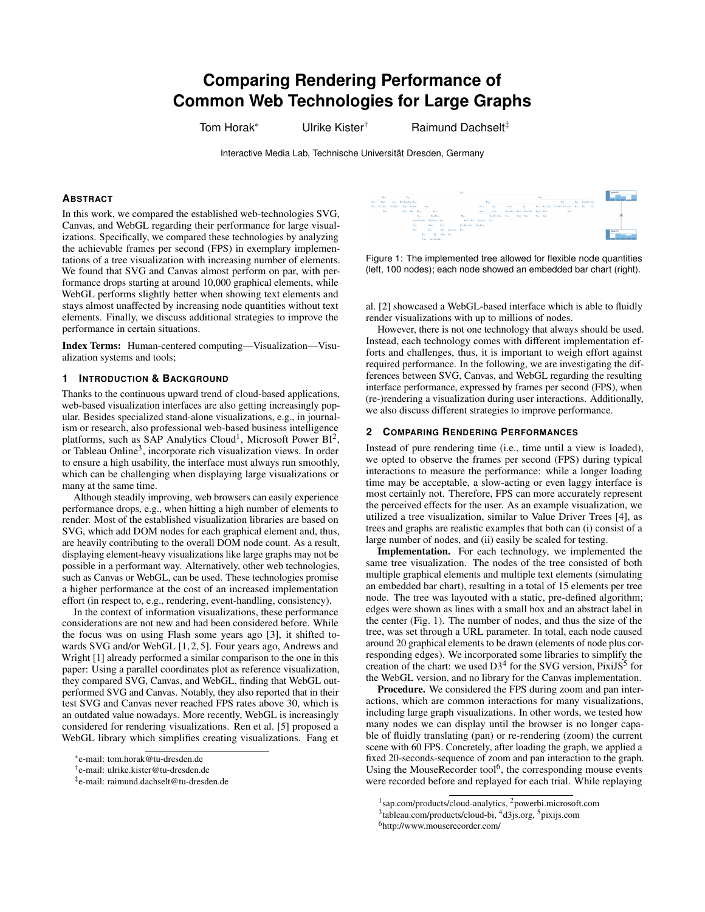# **Comparing Rendering Performance of Common Web Technologies for Large Graphs**

Tom Horak\* Ulrike Kister<sup>†</sup> Raimund Dachselt<sup>‡</sup>

Interactive Media Lab, Technische Universität Dresden, Germany

## **ABSTRACT**

In this work, we compared the established web-technologies SVG, Canvas, and WebGL regarding their performance for large visualizations. Specifically, we compared these technologies by analyzing the achievable frames per second (FPS) in exemplary implementations of a tree visualization with increasing number of elements. We found that SVG and Canvas almost perform on par, with performance drops starting at around 10,000 graphical elements, while WebGL performs slightly better when showing text elements and stays almost unaffected by increasing node quantities without text elements. Finally, we discuss additional strategies to improve the performance in certain situations.

Index Terms: Human-centered computing—Visualization—Visualization systems and tools;

## **1 INTRODUCTION & BACKGROUND**

Thanks to the continuous upward trend of cloud-based applications, web-based visualization interfaces are also getting increasingly popular. Besides specialized stand-alone visualizations, e.g., in journalism or research, also professional web-based business intelligence platforms, such as SAP Analytics Cloud<sup>1</sup>, Microsoft Power BI<sup>2</sup>, or Tableau Online<sup>3</sup>, incorporate rich visualization views. In order to ensure a high usability, the interface must always run smoothly, which can be challenging when displaying large visualizations or many at the same time.

Although steadily improving, web browsers can easily experience performance drops, e.g., when hitting a high number of elements to render. Most of the established visualization libraries are based on SVG, which add DOM nodes for each graphical element and, thus, are heavily contributing to the overall DOM node count. As a result, displaying element-heavy visualizations like large graphs may not be possible in a performant way. Alternatively, other web technologies, such as Canvas or WebGL, can be used. These technologies promise a higher performance at the cost of an increased implementation effort (in respect to, e.g., rendering, event-handling, consistency).

In the context of information visualizations, these performance considerations are not new and had been considered before. While the focus was on using Flash some years ago [\[3\]](#page-1-0), it shifted towards SVG and/or WebGL [\[1,](#page-1-1) [2,](#page-1-2) [5\]](#page-1-3). Four years ago, Andrews and Wright [\[1\]](#page-1-1) already performed a similar comparison to the one in this paper: Using a parallel coordinates plot as reference visualization, they compared SVG, Canvas, and WebGL, finding that WebGL outperformed SVG and Canvas. Notably, they also reported that in their test SVG and Canvas never reached FPS rates above 30, which is an outdated value nowadays. More recently, WebGL is increasingly considered for rendering visualizations. Ren et al. [\[5\]](#page-1-3) proposed a WebGL library which simplifies creating visualizations. Fang et



<span id="page-0-0"></span>Figure 1: The implemented tree allowed for flexible node quantities (left, 100 nodes); each node showed an embedded bar chart (right).

al. [\[2\]](#page-1-2) showcased a WebGL-based interface which is able to fluidly render visualizations with up to millions of nodes.

However, there is not one technology that always should be used. Instead, each technology comes with different implementation efforts and challenges, thus, it is important to weigh effort against required performance. In the following, we are investigating the differences between SVG, Canvas, and WebGL regarding the resulting interface performance, expressed by frames per second (FPS), when (re-)rendering a visualization during user interactions. Additionally, we also discuss different strategies to improve performance.

### **2 COMPARING RENDERING PERFORMANCES**

Instead of pure rendering time (i.e., time until a view is loaded), we opted to observe the frames per second (FPS) during typical interactions to measure the performance: while a longer loading time may be acceptable, a slow-acting or even laggy interface is most certainly not. Therefore, FPS can more accurately represent the perceived effects for the user. As an example visualization, we utilized a tree visualization, similar to Value Driver Trees [\[4\]](#page-1-4), as trees and graphs are realistic examples that both can (i) consist of a large number of nodes, and (ii) easily be scaled for testing.

Implementation. For each technology, we implemented the same tree visualization. The nodes of the tree consisted of both multiple graphical elements and multiple text elements (simulating an embedded bar chart), resulting in a total of 15 elements per tree node. The tree was layouted with a static, pre-defined algorithm; edges were shown as lines with a small box and an abstract label in the center [\(Fig. 1\)](#page-0-0). The number of nodes, and thus the size of the tree, was set through a URL parameter. In total, each node caused around 20 graphical elements to be drawn (elements of node plus corresponding edges). We incorporated some libraries to simplify the creation of the chart: we used  $D3<sup>4</sup>$  for the SVG version, PixiJS<sup>5</sup> for the WebGL version, and no library for the Canvas implementation.

Procedure. We considered the FPS during zoom and pan interactions, which are common interactions for many visualizations, including large graph visualizations. In other words, we tested how many nodes we can display until the browser is no longer capable of fluidly translating (pan) or re-rendering (zoom) the current scene with 60 FPS. Concretely, after loading the graph, we applied a fixed 20-seconds-sequence of zoom and pan interaction to the graph. Using the MouseRecorder tool<sup>[6](#page-0-1)</sup>, the corresponding mouse events were recorded before and replayed for each trial. While replaying

<sup>\*</sup>e-mail: tom.horak@tu-dresden.de

<sup>†</sup> e-mail: ulrike.kister@tu-dresden.de

<sup>‡</sup> e-mail: raimund.dachselt@tu-dresden.de

<sup>1</sup> [sap.com/products/cloud-analytics,](https://www.sap.com/products/cloud-analytics.html) <sup>2</sup>[powerbi.microsoft.com](https://powerbi.microsoft.com/en-us/)

<sup>&</sup>lt;sup>3</sup>[tableau.com/products/cloud-bi,](https://www.tableau.com/products/cloud-bi) <sup>4</sup>[d3js.org,](https://d3js.org/) <sup>5</sup>[pixijs.com](http://www.pixijs.com/)

<span id="page-0-1"></span><sup>6</sup>http://www.mouserecorder.com/